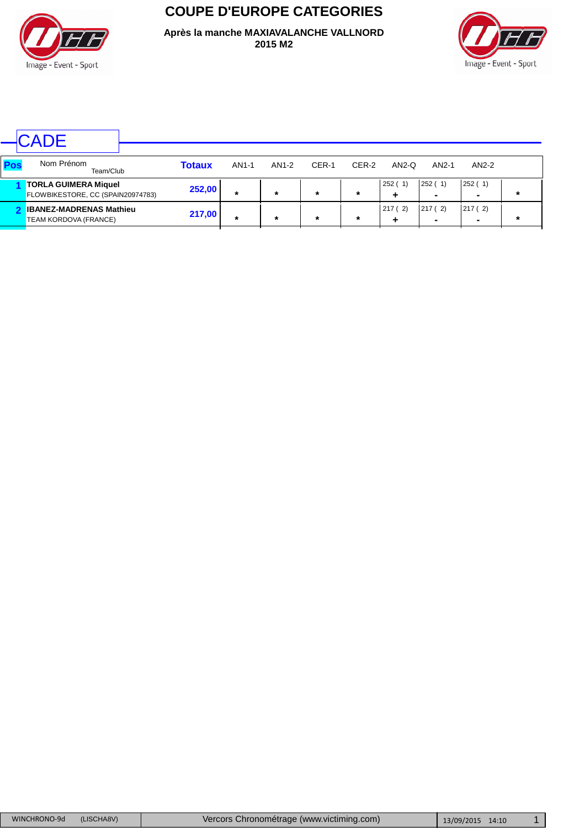

**COUPE D'EUROPE CATEGORIES**

**Après la manche MAXIAVALANCHE VALLNORD 2015 M2**



|     | CADE                                                             |               |         |         |         |        |             |                                    |                          |         |
|-----|------------------------------------------------------------------|---------------|---------|---------|---------|--------|-------------|------------------------------------|--------------------------|---------|
| Pos | Nom Prénom<br>Team/Club                                          | <b>Totaux</b> | AN1-1   | AN1-2   | CER-1   | CER-2  | $AN2-Q$     | AN2-1                              | AN2-2                    |         |
|     | <b>TORLA GUIMERA Miquel</b><br>FLOWBIKESTORE, CC (SPAIN20974783) | 252,00        | $\star$ | $\star$ | $\star$ | $\ast$ | 252(1)<br>٠ | 252(1)<br>$\overline{\phantom{a}}$ | 252(1)<br>$\blacksquare$ | $\star$ |
|     | <b>IBANEZ-MADRENAS Mathieu</b><br>TEAM KORDOVA (FRANCE)          | 217,00        | $\star$ | $\star$ | $\star$ | $\ast$ | 217(2)      | 217(2)                             | 217 (2)<br>-             | $\star$ |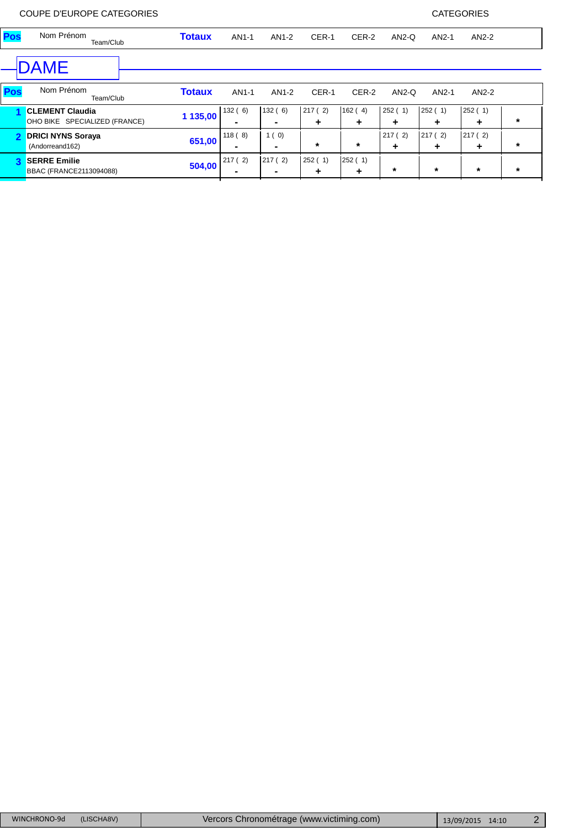| Pos          | Nom Prénom<br>Team/Club                                 | <b>Totaux</b> | AN1-1                    | AN1-2                  | CER-1       | CER-2       | $AN2-Q$     | AN2-1       | AN2-2       |         |
|--------------|---------------------------------------------------------|---------------|--------------------------|------------------------|-------------|-------------|-------------|-------------|-------------|---------|
|              | DAME                                                    |               |                          |                        |             |             |             |             |             |         |
| Pos          | Nom Prénom<br>Team/Club                                 | <b>Totaux</b> | AN1-1                    | AN1-2                  | CER-1       | CER-2       | $AN2-Q$     | AN2-1       | $AN2-2$     |         |
|              | <b>CLEMENT Claudia</b><br>OHO BIKE SPECIALIZED (FRANCE) | 1 135,00      | 132(6)                   | 132(6)                 | 217(2)<br>٠ | 162(4)<br>٠ | 252(1)<br>٠ | 252(1)<br>٠ | 252(1)<br>٠ | *       |
| $\mathbf{2}$ | <b>DRICI NYNS Soraya</b><br>(Andorreand162)             | 651,00        | 118(8)<br>$\blacksquare$ | 1(0)<br>$\blacksquare$ | $\ast$      | $\ast$      | 217(2)<br>٠ | 217(2)<br>٠ | 217(2)<br>٠ | $\star$ |
| 3            | <b>SERRE Emilie</b><br>BBAC (FRANCE2113094088)          | 504,00        | 217(2)<br>$\blacksquare$ | 217(2)                 | 252(1)<br>٠ | 252(1)<br>٠ | $\star$     | $\star$     | $\star$     | $\star$ |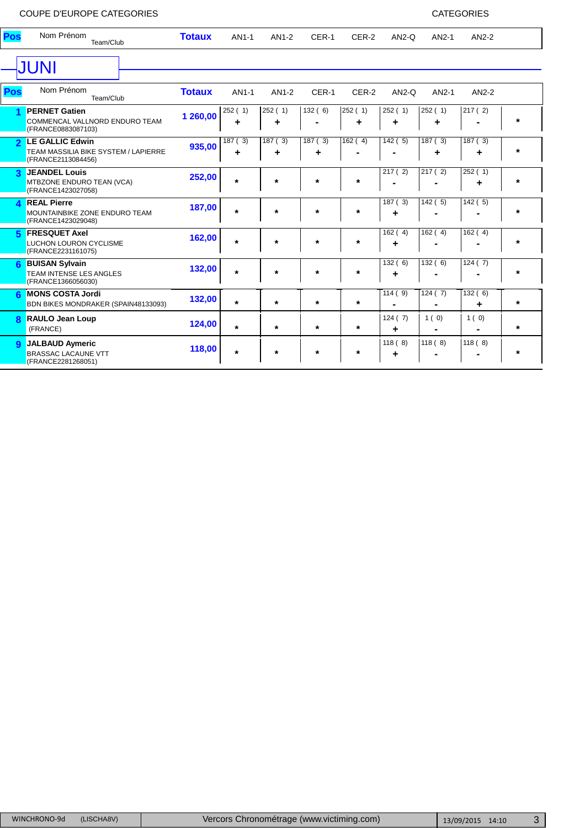## COUPE D'EUROPE CATEGORIES

| <b>CATEGORIES</b> |  |
|-------------------|--|
|-------------------|--|

| Pos                     | Nom Prénom<br>Team/Club                                                              | <b>Totaux</b> | AN1-1   | AN1-2       | CER-1                      | CER-2                | $AN2-Q$     | AN2-1       | AN2-2  |         |
|-------------------------|--------------------------------------------------------------------------------------|---------------|---------|-------------|----------------------------|----------------------|-------------|-------------|--------|---------|
|                         | <b>JUNI</b>                                                                          |               |         |             |                            |                      |             |             |        |         |
| Pos                     | Nom Prénom<br>Team/Club                                                              | <b>Totaux</b> | AN1-1   | AN1-2       | CER-1                      | CER-2                | $AN2-Q$     | AN2-1       | AN2-2  |         |
|                         | <b>PERNET Gatien</b><br>COMMENCAL VALLNORD ENDURO TEAM<br>(FRANCE0883087103)         | 1 260,00      | 252(1)  | 252(1)<br>٠ | 132(6)                     | 252(1)<br>٠          | 252(1)      | 252(1)<br>٠ | 217(2) | $\star$ |
| $\overline{\mathbf{c}}$ | LE GALLIC Edwin<br><b>TEAM MASSILIA BIKE SYSTEM / LAPIERRE</b><br>(FRANCE2113084456) | 935,00        | 187(3)  | 187(3)      | $\overline{187}$ ( 3)<br>٠ | $\overline{162}$ (4) | 142(5)      | 187(3)      | 187(3) | $\ast$  |
| 3                       | <b>JEANDEL Louis</b><br><b>MTBZONE ENDURO TEAN (VCA)</b><br>(FRANCE1423027058)       | 252,00        | $\star$ | $\star$     | $\star$                    | $\ast$               | 217(2)      | 217(2)      | 252(1) | $\ast$  |
| Δ                       | <b>REAL Pierre</b><br>MOUNTAINBIKE ZONE ENDURO TEAM<br>(FRANCE1423029048)            | 187,00        | $\star$ | $\star$     | $\star$                    | $\star$              | 187(3)      | 142(5)      | 142(5) | $\ast$  |
| 5                       | <b>FRESQUET Axel</b><br><b>LUCHON LOURON CYCLISME</b><br>(FRANCE2231161075)          | 162,00        | $\star$ | $\star$     | $\star$                    | $\star$              | 162(4)      | 162(4)      | 162(4) | $\ast$  |
| 6                       | <b>BUISAN Sylvain</b><br><b>TEAM INTENSE LES ANGLES</b><br>(FRANCE1366056030)        | 132,00        | $\star$ | $\star$     | $\star$                    | $\star$              | 132(6)      | 132(6)      | 124(7) | $\ast$  |
| 6                       | <b>MONS COSTA Jordi</b><br>BDN BIKES MONDRAKER (SPAIN48133093)                       | 132,00        | $\star$ | $\star$     | $\star$                    | $\star$              | 114(9)      | 124(7)      | 132(6) | $\star$ |
| 8                       | <b>RAULO Jean Loup</b><br>(FRANCE)                                                   | 124,00        | $\star$ | $\star$     | $\star$                    | $\star$              | 124(7)<br>٠ | 1(0)        | 1(0)   | $\star$ |
| $\mathbf{Q}$            | <b>JALBAUD Aymeric</b><br><b>BRASSAC LACAUNE VTT</b><br>(FRANCE2281268051)           | 118,00        | $\star$ | $\star$     | $\star$                    | *                    | 118(8)<br>٠ | 118(8)      | 118(8) | $\star$ |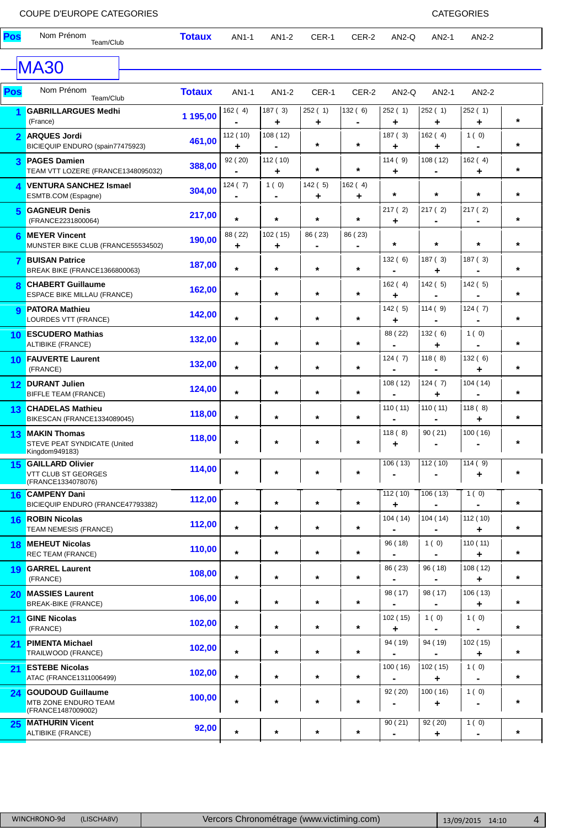| Pos            | Nom Prénom<br>Team/Club                                                | <b>Totaux</b> | AN1-1         | AN1-2                  | CER-1                     | CER-2                                  | $AN2-Q$                   | AN2-1                     | AN2-2         |         |
|----------------|------------------------------------------------------------------------|---------------|---------------|------------------------|---------------------------|----------------------------------------|---------------------------|---------------------------|---------------|---------|
|                | <b>MA30</b>                                                            |               |               |                        |                           |                                        |                           |                           |               |         |
| Pos            | Nom Prénom<br>Team/Club                                                | <b>Totaux</b> | AN1-1         | AN1-2                  | CER-1                     | CER-2                                  | $AN2-Q$                   | AN2-1                     | AN2-2         |         |
|                | <b>GABRILLARGUES Medhi</b><br>(France)                                 | 1 195,00      | 162(4)        | 187(3)<br>٠            | 252(1)<br>÷               | 132(6)<br>$\qquad \qquad \blacksquare$ | 252 (1)<br>÷              | 252 (1)<br>٠              | 252(1)<br>٠   | $\star$ |
| $\overline{2}$ | <b>ARQUES Jordi</b><br>BICIEQUIP ENDURO (spain77475923)                | 461,00        | 112 (10)<br>٠ | 108(12)                | $\star$                   | $\star$                                | 187 (3)<br>٠              | 162(4)<br>٠               | 1(0)          | $\star$ |
| 3              | <b>PAGES Damien</b><br>TEAM VTT LOZERE (FRANCE1348095032)              | 388,00        | 92 (20)       | 112(10)<br>٠           | $\star$                   | $\star$                                | 114(9)<br>٠               | 108 (12)                  | 162(4)<br>٠   | $\star$ |
| 4              | <b>VENTURA SANCHEZ Ismael</b><br>ESMTB.COM (Espagne)                   | 304,00        | 124(7)        | 1(0)<br>$\blacksquare$ | 142(5)<br>٠               | 162(4)<br>٠                            | $\star$                   | $\star$                   | $\star$       | $\star$ |
| 5              | <b>GAGNEUR Denis</b><br>(FRANCE2231800064)                             | 217,00        | $\star$       | $\star$                | $\star$                   | $^\star$                               | 217(2)<br>٠               | 217(2)                    | 217 (2)       | $\star$ |
| 6              | <b>MEYER Vincent</b><br>MUNSTER BIKE CLUB (FRANCE55534502)             | 190,00        | 88 (22)<br>٠  | 102(15)<br>٠           | 86 (23)<br>$\blacksquare$ | 86 (23)<br>$\blacksquare$              | $\star$                   | $\star$                   | $\star$       | $\star$ |
| 7              | <b>BUISAN Patrice</b><br>BREAK BIKE (FRANCE1366800063)                 | 187,00        | $\star$       | $\star$                | $\star$                   | $\star$                                | 132(6)                    | 187(3)<br>٠               | 187(3)        | $\star$ |
| 8              | <b>CHABERT Guillaume</b><br><b>ESPACE BIKE MILLAU (FRANCE)</b>         | 162,00        | $\star$       | $\star$                | $\star$                   | $\star$                                | 162(4)<br>٠               | 142(5)                    | 142(5)        | $\star$ |
| 9              | <b>PATORA Mathieu</b><br>LOURDES VTT (FRANCE)                          | 142,00        | $\star$       | $\star$                | $\star$                   | $\star$                                | 142(5)<br>٠               | 114(9)                    | 124(7)        | $\star$ |
|                | 10 ESCUDERO Mathias<br><b>ALTIBIKE (FRANCE)</b>                        | 132,00        | $\star$       | $\star$                | $\star$                   | $^\star$                               | 88 (22)                   | 132(6)<br>÷               | 1(0)          | $\star$ |
| 10             | <b>FAUVERTE Laurent</b><br>(FRANCE)                                    | 132,00        | $\star$       | $\star$                | $\star$                   | $\star$                                | 124 (7)<br>$\blacksquare$ | 118(8)                    | 132(6)<br>٠   | $\star$ |
| 12             | <b>DURANT Julien</b><br><b>BIFFLE TEAM (FRANCE)</b>                    | 124,00        | $\star$       | $\star$                | $\star$                   | $\star$                                | 108 (12)                  | 124(7)<br>٠               | 104 (14)      | $\star$ |
| 13             | <b>CHADELAS Mathieu</b><br>BIKESCAN (FRANCE1334089045)                 | 118,00        | $\star$       | $\star$                | $\star$                   | $\star$                                | 110 (11)                  | 110(11)                   | 118(8)<br>٠   | $\star$ |
| 13             | <b>MAKIN Thomas</b><br>STEVE PEAT SYNDICATE (United<br>Kingdom949183)  | 118,00        | $\star$       | $\star$                | $\star$                   | $\ast$                                 | 118(8)<br>٠               | 90(21)                    | 100(16)       | $\star$ |
|                | 15 GAILLARD Olivier<br>VTT CLUB ST GEORGES<br>(FRANCE1334078076)       | 114,00        | *             |                        | *                         | *                                      | 106(13)                   | 112(10)                   | 114(9)<br>٠   | $\star$ |
| 16.            | <b>CAMPENY Dani</b><br>BICIEQUIP ENDURO (FRANCE47793382)               | 112,00        | $\star$       | $\star$                | $\star$                   | $\star$                                | 112(10)<br>٠              | 106(13)                   | 1(0)          | $\star$ |
| 16             | <b>ROBIN Nicolas</b><br>TEAM NEMESIS (FRANCE)                          | 112,00        | $\star$       | $\star$                | $\star$                   | $\star$                                | 104 (14)                  | 104(14)                   | 112(10)<br>٠  | $\star$ |
| 18             | <b>MEHEUT Nicolas</b><br>REC TEAM (FRANCE)                             | 110,00        | $\star$       | $\star$                | $\star$                   | $\star$                                | 96 (18)                   | 1(0)                      | 110(11)<br>٠  | $\star$ |
| 19             | <b>GARREL Laurent</b><br>(FRANCE)                                      | 108,00        | $\star$       | $\star$                | $\star$                   | $\star$                                | 86 (23)                   | 96 (18)                   | 108(12)<br>٠  | $\star$ |
| 20             | <b>MASSIES Laurent</b><br><b>BREAK-BIKE (FRANCE)</b>                   | 106,00        | $\star$       | $\star$                | $\star$                   | $\star$                                | 98 (17)                   | 98 (17)                   | 106(13)<br>٠  | $\star$ |
| 21             | <b>GINE Nicolas</b><br>(FRANCE)                                        | 102,00        | $\star$       | $\star$                | $\star$                   | $\star$                                | 102 (15)<br>٠             | 1(0)                      | 1(0)          | $\star$ |
| 21             | <b>PIMENTA Michael</b><br>TRAILWOOD (FRANCE)                           | 102,00        | $\star$       | $\star$                | $\star$                   | $\star$                                | 94 (19)                   | 94 (19)                   | 102 (15)<br>٠ | $\star$ |
| 21             | <b>ESTEBE Nicolas</b><br>ATAC (FRANCE1311006499)                       | 102,00        | $\star$       | $\star$                | $\star$                   | $\star$                                | 100(16)                   | 102(15)<br>٠              | 1(0)          | $\star$ |
| 24             | <b>GOUDOUD Guillaume</b><br>MTB ZONE ENDURO TEAM<br>(FRANCE1487009002) | 100,00        | $\star$       | $\star$                | $\star$                   | $\ast$                                 | 92 (20)                   | 100(16)<br>٠              | 1(0)          | $\ast$  |
| 25             | <b>MATHURIN Vicent</b><br>ALTIBIKE (FRANCE)                            | 92,00         | $\star$       | $\star$                | $\star$                   | $\star$                                | 90(21)                    | $\overline{92}$ (20)<br>٠ | 1(0)          | $\star$ |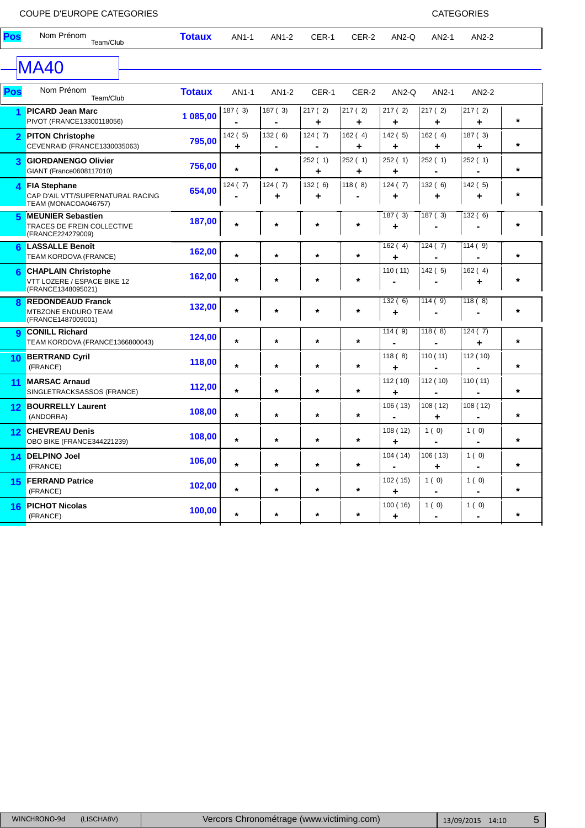| Pos            | Nom Prénom<br>Team/Club                                                            | <b>Totaux</b> | AN1-1       | AN1-2                                  | CER-1                     | CER-2                    | AN2-Q                     | AN2-1                  | AN2-2                  |          |
|----------------|------------------------------------------------------------------------------------|---------------|-------------|----------------------------------------|---------------------------|--------------------------|---------------------------|------------------------|------------------------|----------|
|                | <b>MA40</b>                                                                        |               |             |                                        |                           |                          |                           |                        |                        |          |
| Pos            | Nom Prénom<br>Team/Club                                                            | <b>Totaux</b> | AN1-1       | AN1-2                                  | CER-1                     | CER-2                    | $AN2-Q$                   | AN2-1                  | AN2-2                  |          |
|                | <b>PICARD Jean Marc</b><br>PIVOT (FRANCE13300118056)                               | 1 085,00      | 187(3)      | 187(3)<br>$\blacksquare$               | 217(2)<br>÷               | 217(2)<br>÷              | 217(2)<br>÷               | 217(2)<br>٠            | 217(2)<br>÷            | $\star$  |
| $\overline{2}$ | <b>PITON Christophe</b><br>CEVENRAID (FRANCE1330035063)                            | 795,00        | 142(5)<br>٠ | 132(6)<br>$\qquad \qquad \blacksquare$ | 124 (7)<br>$\blacksquare$ | 162(4)<br>٠              | 142(5)<br>٠               | 162(4)<br>٠            | 187 (3)<br>٠           | $\star$  |
| 3              | <b>GIORDANENGO Olivier</b><br>GIANT (France0608117010)                             | 756,00        | $\star$     | $\star$                                | 252(1)<br>÷               | 252(1)<br>÷              | 252(1)<br>٠               | 252(1)                 | 252(1)                 | $\star$  |
| 4              | <b>FIA Stephane</b><br>CAP D'AIL VTT/SUPERNATURAL RACING<br>TEAM (MONACOA046757)   | 654,00        | 124(7)      | 124(7)<br>٠                            | 132(6)<br>÷               | 118(8)<br>$\blacksquare$ | 124(7)<br>÷               | 132 (6)<br>÷           | 142(5)<br>٠            | $\star$  |
| 5              | <b>MEUNIER Sebastien</b><br><b>TRACES DE FREIN COLLECTIVE</b><br>(FRANCE224279009) | 187,00        | $\star$     | $^\star$                               | $\star$                   | $\star$                  | 187(3)<br>٠               | 187(3)                 | $\overline{132}$ (6)   | $^\star$ |
| ิค             | <b>LASSALLE Benoît</b><br>TEAM KORDOVA (FRANCE)                                    | 162,00        | $\star$     | $\star$                                | $\star$                   | $\star$                  | 162(4)<br>٠               | 124(7)                 | 114(9)                 | $\star$  |
| 6              | <b>CHAPLAIN Christophe</b><br>VTT LOZERE / ESPACE BIKE 12<br>(FRANCE1348095021)    | 162,00        | $\star$     | $\star$                                | $\star$                   | $\star$                  | 110(11)                   | 142(5)                 | 162(4)<br>٠            | $\star$  |
| 8              | <b>REDONDEAUD Franck</b><br>MTBZONE ENDURO TEAM<br>(FRANCE1487009001)              | 132,00        | $\star$     | $\star$                                | $\star$                   | $\star$                  | 132(6)<br>٠               | 114(9)                 | 118(8)                 | $\star$  |
| $\mathbf{Q}$   | <b>CONILL Richard</b><br>TEAM KORDOVA (FRANCE1366800043)                           | 124,00        | $\star$     | $\star$                                | $\star$                   | $\star$                  | 114(9)                    | 118(8)                 | 124(7)<br>٠            | $\star$  |
|                | 10 BERTRAND Cyril<br>(FRANCE)                                                      | 118,00        | $\star$     | $\star$                                | $\star$                   | $\star$                  | 118(8)<br>÷               | 110(11)                | 112 (10)               | $\star$  |
| 11             | <b>MARSAC Arnaud</b><br>SINGLETRACKSASSOS (FRANCE)                                 | 112,00        | $\star$     | $\star$                                | $\star$                   | $\star$                  | 112(10)<br>÷              | 112 (10)               | 110(11)                | $\star$  |
| 12             | <b>BOURRELLY Laurent</b><br>(ANDORRA)                                              | 108,00        | $\star$     | $\star$                                | $\star$                   | $\star$                  | 106(13)<br>$\blacksquare$ | 108 (12)<br>٠          | 108(12)                | $\star$  |
| $12 \,$        | <b>CHEVREAU Denis</b><br>OBO BIKE (FRANCE344221239)                                | 108,00        | $\star$     | $\star$                                | $\star$                   | $\star$                  | 108(12)<br>÷              | 1(0)                   | 1(0)<br>$\blacksquare$ | $\star$  |
| 14             | <b>DELPINO Joel</b><br>(FRANCE)                                                    | 106,00        | $\star$     | $\star$                                | $\star$                   | $^\star$                 | 104(14)<br>$\blacksquare$ | 106(13)<br>٠           | 1(0)<br>$\blacksquare$ | $\star$  |
| 15             | <b>FERRAND Patrice</b><br>(FRANCE)                                                 | 102,00        | $\star$     | $\star$                                | $\star$                   | $\star$                  | 102 (15)<br>÷             | 1(0)                   | 1(0)                   | $\star$  |
| 16             | <b>PICHOT Nicolas</b><br>(FRANCE)                                                  | 100,00        | $\star$     | $\star$                                | $\star$                   | $\star$                  | 100(16)<br>÷              | 1(0)<br>$\blacksquare$ | 1(0)<br>$\blacksquare$ | $\star$  |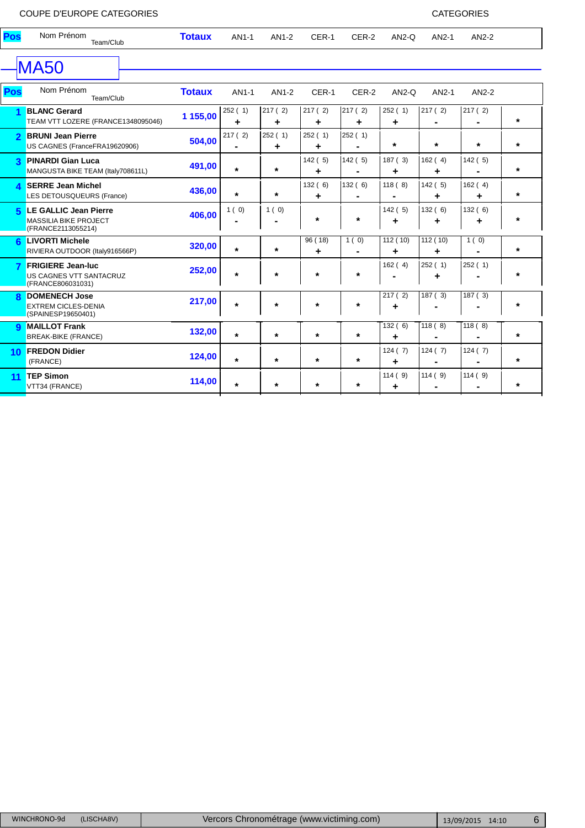**<sup>10</sup> FREDON Didier 124,00** (FRANCE)

**<sup>11</sup> TEP Simon 114,00** VTT34 (FRANCE)

124 ( 7) 124 ( 7) 124 ( 7)

114 ( 9) 114 ( 9) 114 ( 9)

**\* \* \* \* + - - \***

**\* \* \* \* + - - \***

|                         | COUPE D'EUROPE CATEGORIES                                                   |               |             |              |              |             |              |                           | <b>CATEGORIES</b> |         |
|-------------------------|-----------------------------------------------------------------------------|---------------|-------------|--------------|--------------|-------------|--------------|---------------------------|-------------------|---------|
| Pos                     | Nom Prénom<br>Team/Club                                                     | <b>Totaux</b> | AN1-1       | AN1-2        | CER-1        | CER-2       | $AN2-Q$      | AN2-1                     | AN2-2             |         |
|                         | <b>MA50</b>                                                                 |               |             |              |              |             |              |                           |                   |         |
| Pos                     | Nom Prénom<br>Team/Club                                                     | <b>Totaux</b> | AN1-1       | AN1-2        | CER-1        | CER-2       | $AN2-Q$      | AN2-1                     | AN2-2             |         |
|                         | <b>BLANC Gerard</b><br>TEAM VTT LOZERE (FRANCE1348095046)                   | 1 155,00      | 252(1)<br>┹ | 217 (2)<br>٠ | 217(2)<br>٠  | 217(2)<br>٠ | 252(1)<br>٠  | 217(2)                    | 217 (2)           | $\star$ |
| $\overline{\mathbf{c}}$ | <b>BRUNI Jean Pierre</b><br>US CAGNES (FranceFRA19620906)                   | 504,00        | 217(2)      | 252(1)<br>٠  | 252(1)<br>٠  | 252(1)      | $\star$      | $\star$                   | $\star$           | *       |
| 3                       | <b>PINARDI Gian Luca</b><br>MANGUSTA BIKE TEAM (Italy708611L)               | 491,00        | $\star$     | $\star$      | 142(5)<br>٠  | 142(5)      | 187(3)<br>٠  | 162(4)<br>٠               | 142(5)            | *       |
| 4                       | <b>SERRE Jean Michel</b><br>LES DETOUSQUEURS (France)                       | 436,00        | $\star$     | $\star$      | 132(6)<br>٠  | 132(6)      | 118(8)       | 142(5)<br>٠               | 162(4)            | $\star$ |
| 片                       | LE GALLIC Jean Pierre<br><b>MASSILIA BIKE PROJECT</b><br>(FRANCE2113055214) | 406,00        | 1(0)        | 1(0)         | $\star$      | $\ast$      | 142(5)<br>٠  | 132(6)<br>٠               | 132(6)            | *       |
| R                       | <b>LIVORTI Michele</b><br>RIVIERA OUTDOOR (Italy916566P)                    | 320,00        | $\star$     | $\star$      | 96 (18)<br>٠ | 1(0)        | 112(10)<br>٠ | $\overline{11}2(10)$<br>٠ | 1(0)              | $\star$ |
|                         | <b>FRIGIERE Jean-luc</b><br>US CAGNES VTT SANTACRUZ<br>(FRANCE806031031)    | 252,00        | $\star$     | $\star$      | $\star$      | $\star$     | 162(4)       | 252(1)<br>٠               | 252(1)            | $\star$ |
|                         | <b>DOMENECH Jose</b><br><b>EXTREM CICLES-DENIA</b><br>(SPAINESP19650401)    | 217,00        | $\star$     | $\star$      | $\star$      | $\star$     | 217(2)<br>٠  | 187(3)                    | 187(3)            | *       |
| $\mathbf Q$             | <b>MAILLOT Frank</b><br><b>BREAK-BIKE (FRANCE)</b>                          | 132,00        | $\star$     | $\star$      | $\star$      | $\ast$      | 132(6)<br>٠  | 118(8)                    | 118(8)            | $\star$ |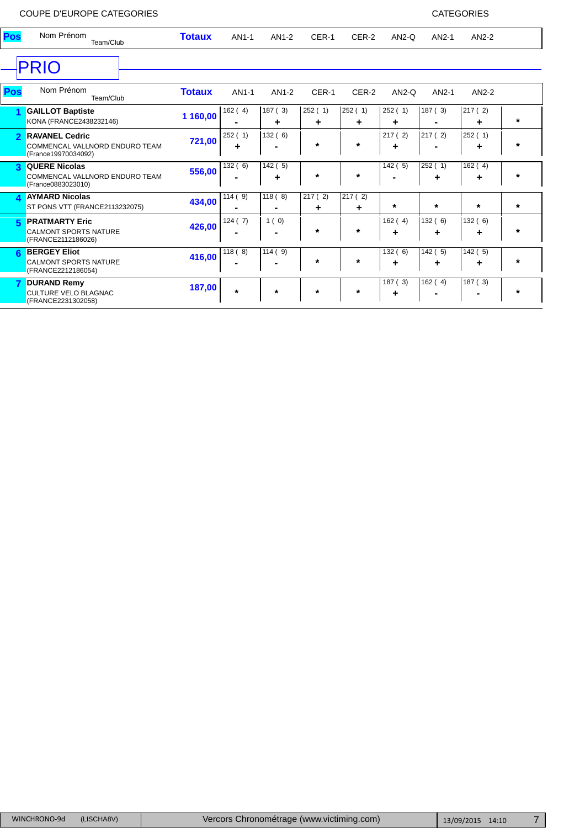|     | COUPE D'EUROPE CATEGORIES                                                      |               |             |                          |             |             |             |             | <b>CATEGORIES</b> |        |
|-----|--------------------------------------------------------------------------------|---------------|-------------|--------------------------|-------------|-------------|-------------|-------------|-------------------|--------|
| Pos | Nom Prénom<br>Team/Club                                                        | <b>Totaux</b> | AN1-1       | AN1-2                    | CER-1       | CER-2       | $AN2-Q$     | AN2-1       | AN2-2             |        |
|     | <b>PRIO</b>                                                                    |               |             |                          |             |             |             |             |                   |        |
| Pos | Nom Prénom<br>Team/Club                                                        | <b>Totaux</b> | AN1-1       | AN1-2                    | CER-1       | CER-2       | $AN2-Q$     | AN2-1       | $AN2-2$           |        |
|     | <b>GAILLOT Baptiste</b><br>KONA (FRANCE2438232146)                             | 1 160,00      | 162(4)      | 187(3)<br>٠              | 252(1)<br>٠ | 252(1)<br>٠ | 252(1)<br>÷ | 187(3)      | 217(2)<br>٠       | $\ast$ |
|     | <b>RAVANEL Cedric</b><br>COMMENCAL VALLNORD ENDURO TEAM<br>(France19970034092) | 721,00        | 252(1)<br>÷ | 132(6)<br>$\blacksquare$ | $\star$     | $\ast$      | 217(2)<br>٠ | 217(2)<br>۰ | 252(1)<br>٠       | $\ast$ |

|   | <b>QUERE Nicolas</b><br>COMMENCAL VALLNORD ENDURO TEAM<br>(France0883023010) | 556,00 | 132(6)  | 142 ( 5)<br>٠            | $\ast$      | $\ast$      | 142(<br>5)  | 252(<br>٠                | 162(4)<br>÷              |   |
|---|------------------------------------------------------------------------------|--------|---------|--------------------------|-------------|-------------|-------------|--------------------------|--------------------------|---|
|   | <b>AYMARD Nicolas</b><br>ST PONS VTT (FRANCE2113232075)                      | 434,00 | 114(9)  | 118(8)<br>$\blacksquare$ | 217(2)<br>٠ | 217(2)<br>٠ | $\star$     | $\ast$                   | $\ast$                   |   |
| 5 | <b>PRATMARTY Eric</b><br><b>CALMONT SPORTS NATURE</b><br>(FRANCE2112186026)  | 426,00 | 124(7)  | 1(0)<br>$\blacksquare$   | $\star$     | $\star$     | 162(4)<br>٠ | 132(6)<br>÷              | 132(6)<br>٠              |   |
|   | <b>BERGEY Eliot</b><br><b>CALMONT SPORTS NATURE</b><br>(FRANCE2212186054)    | 416,00 | 118(8)  | 114(9)<br>$\blacksquare$ | $\star$     | $\star$     | 132(6)<br>٠ | -5)<br>142(<br>٠         | 142(5)<br>٠              | * |
|   | <b>DURAND Remy</b><br><b>CULTURE VELO BLAGNAC</b><br>(FRANCE2231302058)      | 187,00 | $\star$ | $\star$                  | $\star$     | $\star$     | 187(3)<br>٠ | 162(4)<br>$\blacksquare$ | 187(3)<br>$\blacksquare$ | * |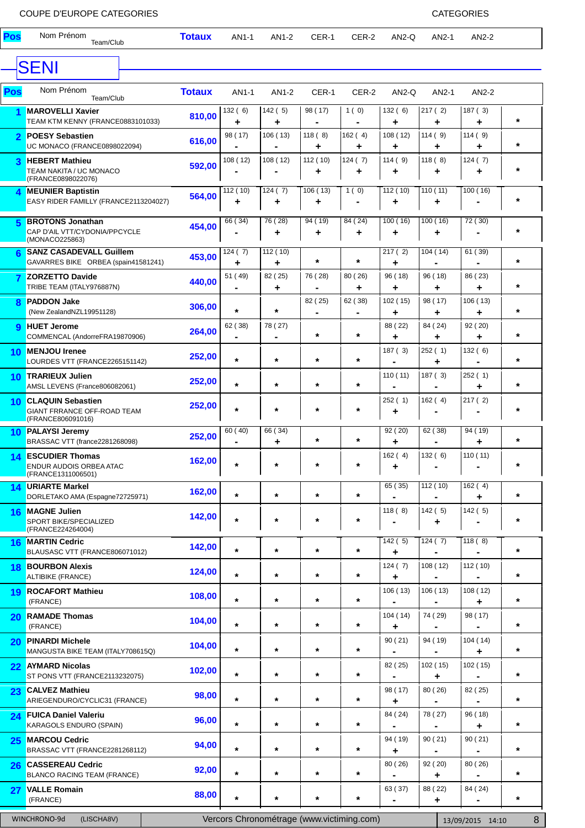# COUPE D'EUROPE CATEGORIES COUPE EN EN ENCORTE DE LA CATEGORIES

| <b>CAI EGORIES</b> |  |  |
|--------------------|--|--|
|                    |  |  |

| Pos                     | Nom Prénom<br>Team/Club                                                             | <b>Totaux</b> | AN1-1           | AN1-2                                     | CER-1                     | CER-2                     | AN2-Q         | AN2-1                    | AN2-2                     |          |
|-------------------------|-------------------------------------------------------------------------------------|---------------|-----------------|-------------------------------------------|---------------------------|---------------------------|---------------|--------------------------|---------------------------|----------|
|                         | <b>SENI</b>                                                                         |               |                 |                                           |                           |                           |               |                          |                           |          |
|                         | Nom Prénom                                                                          |               |                 |                                           |                           |                           |               |                          |                           |          |
| Pos                     | Team/Club                                                                           | <b>Totaux</b> | AN1-1           | AN1-2                                     | CER-1                     | CER-2                     | AN2-Q         | AN2-1                    | AN2-2                     |          |
| 1                       | <b>MAROVELLI Xavier</b><br>TEAM KTM KENNY (FRANCE0883101033)                        | 810,00        | 132(6)<br>٠     | 142(5)<br>٠                               | 98 (17)                   | 1(0)<br>$\blacksquare$    | 132(6)<br>٠   | 217(2)<br>٠              | 187(3)<br>٠               | $\star$  |
| $\overline{2}$          | <b>POESY Sebastien</b><br>UC MONACO (FRANCE0898022094)                              | 616,00        | 98 (17)         | 106(13)                                   | 118(8)<br>٠               | 162(4)<br>٠               | 108(12)<br>٠  | 114(9)<br>+              | 114(9)<br>٠               | $\star$  |
| 3                       | <b>HEBERT Mathieu</b><br>TEAM NAKITA / UC MONACO<br>(FRANCE0898022076)              | 592,00        | 108 (12)        | 108 (12)                                  | 112 (10)<br>٠             | 124(7)<br>٠               | 114(9)<br>٠   | 118(8)<br>٠              | 124(7)<br>٠               | $\star$  |
| 4                       | <b>MEUNIER Baptistin</b><br>EASY RIDER FAMILLY (FRANCE2113204027)                   | 564,00        | 112 $(10)$<br>٠ | $\sqrt{124}$ (7)<br>۰                     | 106(13)<br>٠              | 1(0)                      | 112 (10)<br>٠ | 110(11)<br>٠             | 100(16)                   | $\star$  |
| 5                       | <b>BROTONS Jonathan</b><br>CAP D'AIL VTT/CYDONIA/PPCYCLE<br>(MONACO225863)          | 454,00        | 66 (34)         | 76 (28)<br>٠                              | 94 (19)<br>٠              | 84 (24)<br>٠              | 100(16)<br>٠  | 100(16)<br>٠             | $\overline{72}$ (30)      | $\star$  |
| 6                       | <b>SANZ CASADEVALL Guillem</b><br>GAVARRES BIKE ORBEA (spain41581241)               | 453,00        | 124(7)<br>٠     | 112 (10)<br>÷                             | $^\star$                  | $\star$                   | 217(2)<br>٠   | 104(14)                  | 61 (39)                   | $\star$  |
| $\overline{\mathbf{z}}$ | <b>ZORZETTO Davide</b><br>TRIBE TEAM (ITALY976887N)                                 | 440,00        | 51 (49)         | 82 (25)<br>٠                              | 76 (28)                   | 80 (26)<br>٠              | 96 (18)<br>٠  | 96 (18)<br>٠             | 86 (23)<br>٠              | $\star$  |
| $\mathbf{R}$            | <b>PADDON Jake</b><br>(New ZealandNZL19951128)                                      | 306,00        | $\star$         | $\star$                                   | 82 (25)<br>$\blacksquare$ | 62 (38)<br>$\blacksquare$ | 102 (15)<br>٠ | 98 (17)<br>٠             | 106(13)<br>٠              | $\star$  |
| $\mathbf{Q}$            | <b>HUET Jerome</b><br>COMMENCAL (AndorreFRA19870906)                                | 264,00        | 62 (38)         | 78 (27)                                   | $\star$                   | $\star$                   | 88 (22)<br>٠  | 84 (24)<br>٠             | 92 (20)<br>٠              | $\star$  |
| 10                      | <b>MENJOU Irenee</b><br>LOURDES VTT (FRANCE2265151142)                              | 252,00        | $\star$         | $\star$                                   | $\star$                   | $\star$                   | 187(3)        | 252(1)<br>٠              | 132(6)                    | $\star$  |
| 10                      | <b>TRARIEUX Julien</b><br>AMSL LEVENS (France806082061)                             | 252,00        | $\star$         | $\star$                                   | $\star$                   | $\star$                   | 110(11)       | 187(3)                   | 252(1)<br>٠               | $\star$  |
| 10 <sup>°</sup>         | <b>CLAQUIN Sebastien</b><br><b>GIANT FRRANCE OFF-ROAD TEAM</b><br>(FRANCE806091016) | 252,00        | $\star$         | $\star$                                   | *                         | $\ast$                    | 252 (1)<br>٠  | 162(4)                   | 217(2)                    | $\star$  |
|                         | 10 PALAYSI Jeremy<br>BRASSAC VTT (france2281268098)                                 | 252,00        | 60 (40)         | 66 (34)<br>٠                              | $\star$                   | $\ast$                    | 92 (20)<br>٠  | 62 (38)                  | 94(19)<br>٠               | $\star$  |
| 14                      | <b>ESCUDIER Thomas</b><br>ENDUR AUDOIS ORBEA ATAC<br>(FRANCE1311006501)             | 162,00        | $^\star$        | $\star$                                   | *                         | $\ast$                    | 162(4)<br>٠   | 132(6)<br>$\blacksquare$ | 110(11)<br>$\blacksquare$ | $^\star$ |
| 14                      | <b>URIARTE Markel</b><br>DORLETAKO AMA (Espagne72725971)                            | 162,00        | $\star$         | $\star$                                   | $\star$                   | $\star$                   | 65(35)        | 112 (10)                 | 162(4)<br>٠               | $\star$  |
| 16                      | <b>MAGNE Julien</b><br>SPORT BIKE/SPECIALIZED<br>(FRANCE224264004)                  | 142,00        | $\star$         | $\star$                                   | $\star$                   | $\ast$                    | 118(8)        | 142(5)<br>٠              | 142(5)                    | $\star$  |
|                         | 16 MARTIN Cedric<br>BLAUSASC VTT (FRANCE806071012)                                  | 142,00        | *               | $\star$                                   | $^\star$                  | $\ast$                    | 142(5)<br>+   | 124(7)                   | 118(8)                    | $\star$  |
| 18 <sup>°</sup>         | <b>BOURBON Alexis</b><br><b>ALTIBIKE (FRANCE)</b>                                   | 124,00        | $\star$         | $\star$                                   | $\star$                   | $\ast$                    | 124(7)<br>٠   | 108(12)                  | 112 (10)                  | $\star$  |
| 19                      | <b>ROCAFORT Mathieu</b><br>(FRANCE)                                                 | 108,00        | *               | $\star$                                   | $\star$                   | $\star$                   | 106(13)       | 106(13)                  | 108(12)<br>٠              | $\star$  |
| 20                      | <b>RAMADE Thomas</b><br>(FRANCE)                                                    | 104,00        | *               | $\star$                                   | $\star$                   | $\star$                   | 104 (14)<br>٠ | 74 (29)                  | 98 (17)                   | $\star$  |
| 20                      | <b>PINARDI Michele</b><br>MANGUSTA BIKE TEAM (ITALY708615Q)                         | 104,00        | *               | $\star$                                   | $\star$                   | $\star$                   | 90 (21)       | 94 (19)                  | 104(14)<br>٠              | $\star$  |
| 22 <sub>2</sub>         | <b>AYMARD Nicolas</b><br>ST PONS VTT (FRANCE2113232075)                             | 102,00        | $\star$         | $\star$                                   | $\star$                   | $\ast$                    | 82 (25)       | 102(15)<br>٠             | 102(15)                   | $\star$  |
| 23                      | <b>CALVEZ Mathieu</b><br>ARIEGENDURO/CYCLIC31 (FRANCE)                              | 98,00         | $\star$         | $\star$                                   | $\star$                   | $\star$                   | 98 (17)<br>٠  | 80 (26)                  | 82 (25)                   | $\star$  |
| 24                      | <b>FUICA Daniel Valeriu</b><br>KARAGOLS ENDURO (SPAIN)                              | 96,00         | *               | $\star$                                   | $\star$                   | $\star$                   | 84 (24)       | 78 (27)                  | 96 (18)<br>٠              | $\star$  |
| 25                      | <b>MARCOU Cedric</b><br>BRASSAC VTT (FRANCE2281268112)                              | 94,00         | *               | $\star$                                   | $\star$                   | $\star$                   | 94 (19)<br>٠  | 90(21)                   | 90(21)                    | $\star$  |
| 26                      | <b>CASSEREAU Cedric</b><br><b>BLANCO RACING TEAM (FRANCE)</b>                       | 92,00         | $\star$         | $\star$                                   | $\star$                   | $\star$                   | 80 (26)       | 92 (20)<br>٠             | 80 (26)                   | $\star$  |
| 27                      | <b>VALLE Romain</b><br>(FRANCE)                                                     | 88,00         | $\star$         | $\star$                                   | *                         | $\ast$                    | 63 (37)       | 88 (22)<br>٠             | 84 (24)                   | $\star$  |
|                         | WINCHRONO-9d<br>(LISCHA8V)                                                          |               |                 | Vercors Chronométrage (www.victiming.com) |                           |                           |               |                          | 13/09/2015 14:10          | 8        |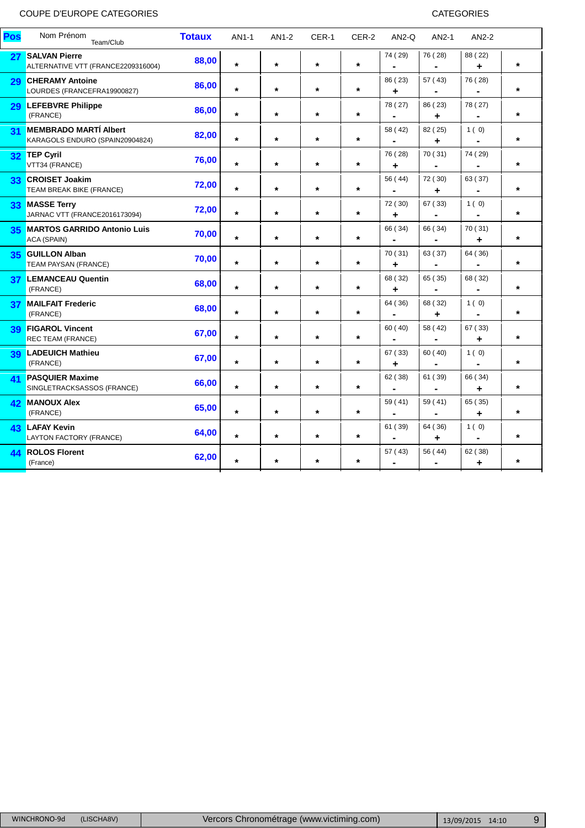| Pos             | Nom Prénom<br>Team/Club                                         | <b>Totaux</b> | AN1-1    | AN1-2   | CER-1   | CER-2   | $AN2-Q$                   | AN2-1                     | AN2-2                     |         |
|-----------------|-----------------------------------------------------------------|---------------|----------|---------|---------|---------|---------------------------|---------------------------|---------------------------|---------|
| 27              | <b>SALVAN Pierre</b><br>ALTERNATIVE VTT (FRANCE2209316004)      | 88,00         | $\star$  | $\star$ | $\star$ | $\star$ | 74 (29)                   | 76 (28)                   | 88 (22)<br>٠              | $\star$ |
| 29              | <b>CHERAMY Antoine</b><br>LOURDES (FRANCEFRA19900827)           | 86,00         | $\star$  | $\star$ | $\star$ | $\star$ | 86 (23)<br>٠              | 57 (43)                   | 76 (28)                   | $\star$ |
| 29              | <b>LEFEBVRE Philippe</b><br>(FRANCE)                            | 86,00         | $\star$  | $\star$ | $\star$ | $\star$ | 78 (27)                   | 86 (23)<br>÷              | 78 (27)                   | $\star$ |
| 31              | <b>MEMBRADO MARTÍ Albert</b><br>KARAGOLS ENDURO (SPAIN20904824) | 82,00         | $\star$  | $\star$ | $\star$ | $\star$ | 58 (42)                   | 82 (25)<br>÷              | 1(0)                      | $\star$ |
| 32              | <b>TEP Cyril</b><br>VTT34 (FRANCE)                              | 76,00         | $\star$  | $\star$ | $\star$ | $\star$ | 76 (28)<br>٠              | 70 (31)<br>-              | 74 (29)<br>$\blacksquare$ | $\star$ |
| 33              | <b>CROISET Joakim</b><br>TEAM BREAK BIKE (FRANCE)               | 72,00         | $^\star$ | $\star$ | $\star$ | $\star$ | 56 (44)                   | 72 (30)<br>٠              | 63 (37)                   | $\star$ |
| 33 <sub>o</sub> | <b>MASSE Terry</b><br>JARNAC VTT (FRANCE2016173094)             | 72,00         | $\star$  | $\star$ | $\star$ | $\star$ | 72 (30)<br>÷              | 67 (33)                   | 1(0)                      | $\star$ |
| 35              | <b>MARTOS GARRIDO Antonio Luis</b><br>ACA (SPAIN)               | 70,00         | $\star$  | $\star$ | $\star$ | $\star$ | 66 (34)                   | 66 (34)                   | 70 (31)<br>٠              | $\star$ |
| 35              | <b>GUILLON Alban</b><br><b>TEAM PAYSAN (FRANCE)</b>             | 70,00         | $\star$  | $\star$ | $\star$ | $\star$ | 70 (31)<br>٠              | 63 (37)                   | 64 (36)                   | $\star$ |
| 37              | <b>LEMANCEAU Quentin</b><br>(FRANCE)                            | 68,00         | $\star$  | $\star$ | $\star$ | $\star$ | 68 (32)<br>٠              | 65 (35)<br>$\blacksquare$ | 68 (32)<br>$\blacksquare$ | $\star$ |
| 37              | <b>MAILFAIT Frederic</b><br>(FRANCE)                            | 68,00         | $\star$  | $\star$ | $\star$ | $\star$ | 64 (36)<br>$\blacksquare$ | 68 (32)<br>٠              | 1(0)<br>$\blacksquare$    | $\star$ |
| 39              | <b>FIGAROL Vincent</b><br><b>REC TEAM (FRANCE)</b>              | 67,00         | $\star$  | $\star$ | $\star$ | $\star$ | 60 (40)<br>$\blacksquare$ | 58 (42)<br>۰              | 67 (33)<br>٠              | $\star$ |
| 39              | <b>LADEUICH Mathieu</b><br>(FRANCE)                             | 67,00         | $\star$  | $\star$ | $\star$ | $\star$ | 67 (33)<br>٠              | 60 (40)                   | 1(0)                      | $\star$ |
| 41              | <b>PASQUIER Maxime</b><br>SINGLETRACKSASSOS (FRANCE)            | 66,00         | $\star$  | $\star$ | $\star$ | $\star$ | 62 (38)<br>$\blacksquare$ | 61 (39)                   | 66 (34)<br>٠              | $\star$ |
| 42              | <b>MANOUX Alex</b><br>(FRANCE)                                  | 65,00         | $\star$  | $\star$ | $\star$ | $\star$ | 59 (41)                   | 59 (41)                   | 65 (35)<br>٠              | $\star$ |
| 43              | <b>LAFAY Kevin</b><br>LAYTON FACTORY (FRANCE)                   | 64,00         | $\star$  | $\star$ | $\star$ | $\star$ | 61 (39)                   | 64 (36)<br>٠              | 1(0)                      | $\star$ |
| 44              | <b>ROLOS Florent</b><br>(France)                                | 62,00         | $\star$  | $\star$ | $\star$ | $\star$ | 57 (43)<br>$\blacksquare$ | 56 (44)                   | 62 (38)<br>٠              | $\star$ |
|                 |                                                                 |               |          |         |         |         |                           |                           |                           |         |